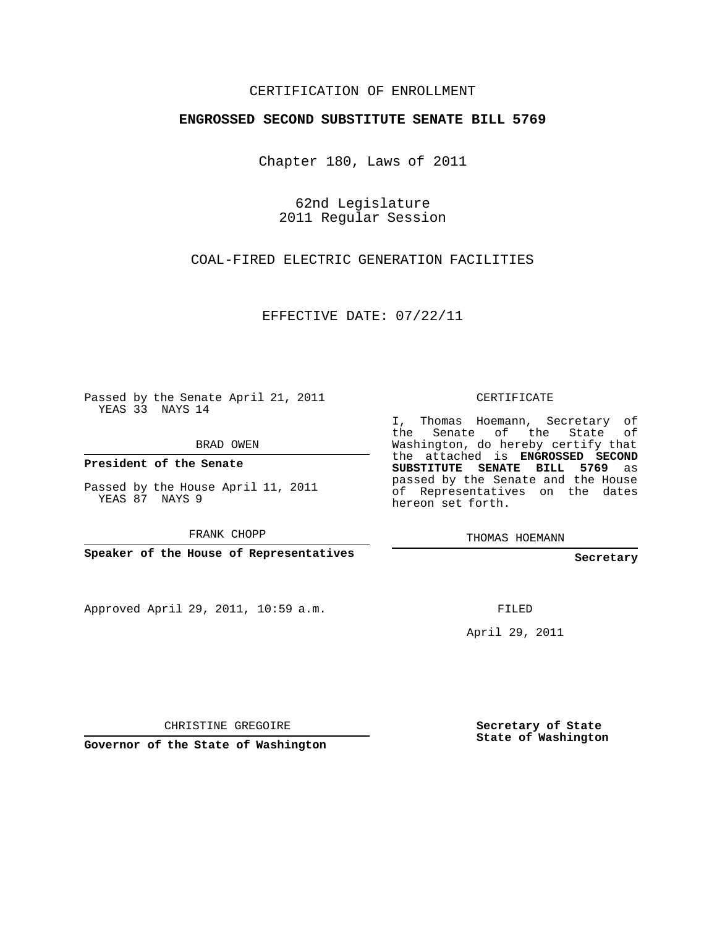## CERTIFICATION OF ENROLLMENT

## **ENGROSSED SECOND SUBSTITUTE SENATE BILL 5769**

Chapter 180, Laws of 2011

62nd Legislature 2011 Regular Session

COAL-FIRED ELECTRIC GENERATION FACILITIES

EFFECTIVE DATE: 07/22/11

Passed by the Senate April 21, 2011 YEAS 33 NAYS 14

BRAD OWEN

**President of the Senate**

Passed by the House April 11, 2011 YEAS 87 NAYS 9

FRANK CHOPP

**Speaker of the House of Representatives**

Approved April 29, 2011, 10:59 a.m.

CERTIFICATE

I, Thomas Hoemann, Secretary of the Senate of the State of Washington, do hereby certify that the attached is **ENGROSSED SECOND SUBSTITUTE SENATE BILL 5769** as passed by the Senate and the House of Representatives on the dates hereon set forth.

THOMAS HOEMANN

**Secretary**

FILED

April 29, 2011

CHRISTINE GREGOIRE

**Governor of the State of Washington**

**Secretary of State State of Washington**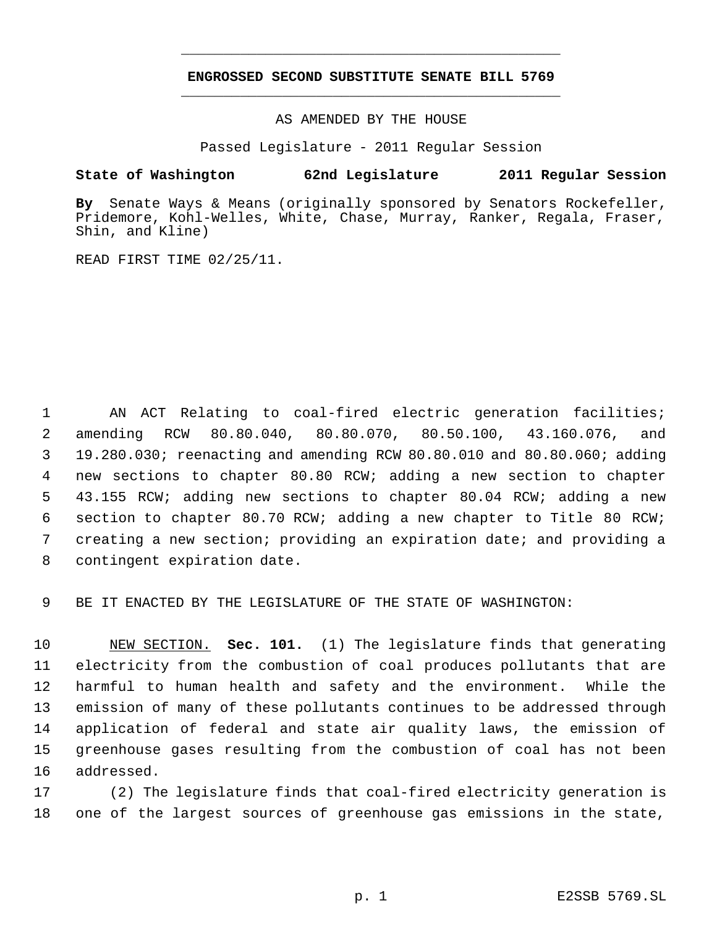## **ENGROSSED SECOND SUBSTITUTE SENATE BILL 5769** \_\_\_\_\_\_\_\_\_\_\_\_\_\_\_\_\_\_\_\_\_\_\_\_\_\_\_\_\_\_\_\_\_\_\_\_\_\_\_\_\_\_\_\_\_

\_\_\_\_\_\_\_\_\_\_\_\_\_\_\_\_\_\_\_\_\_\_\_\_\_\_\_\_\_\_\_\_\_\_\_\_\_\_\_\_\_\_\_\_\_

AS AMENDED BY THE HOUSE

Passed Legislature - 2011 Regular Session

## **State of Washington 62nd Legislature 2011 Regular Session**

**By** Senate Ways & Means (originally sponsored by Senators Rockefeller, Pridemore, Kohl-Welles, White, Chase, Murray, Ranker, Regala, Fraser, Shin, and Kline)

READ FIRST TIME 02/25/11.

 AN ACT Relating to coal-fired electric generation facilities; amending RCW 80.80.040, 80.80.070, 80.50.100, 43.160.076, and 19.280.030; reenacting and amending RCW 80.80.010 and 80.80.060; adding new sections to chapter 80.80 RCW; adding a new section to chapter 43.155 RCW; adding new sections to chapter 80.04 RCW; adding a new section to chapter 80.70 RCW; adding a new chapter to Title 80 RCW; creating a new section; providing an expiration date; and providing a contingent expiration date.

BE IT ENACTED BY THE LEGISLATURE OF THE STATE OF WASHINGTON:

 NEW SECTION. **Sec. 101.** (1) The legislature finds that generating electricity from the combustion of coal produces pollutants that are harmful to human health and safety and the environment. While the emission of many of these pollutants continues to be addressed through application of federal and state air quality laws, the emission of greenhouse gases resulting from the combustion of coal has not been addressed.

 (2) The legislature finds that coal-fired electricity generation is one of the largest sources of greenhouse gas emissions in the state,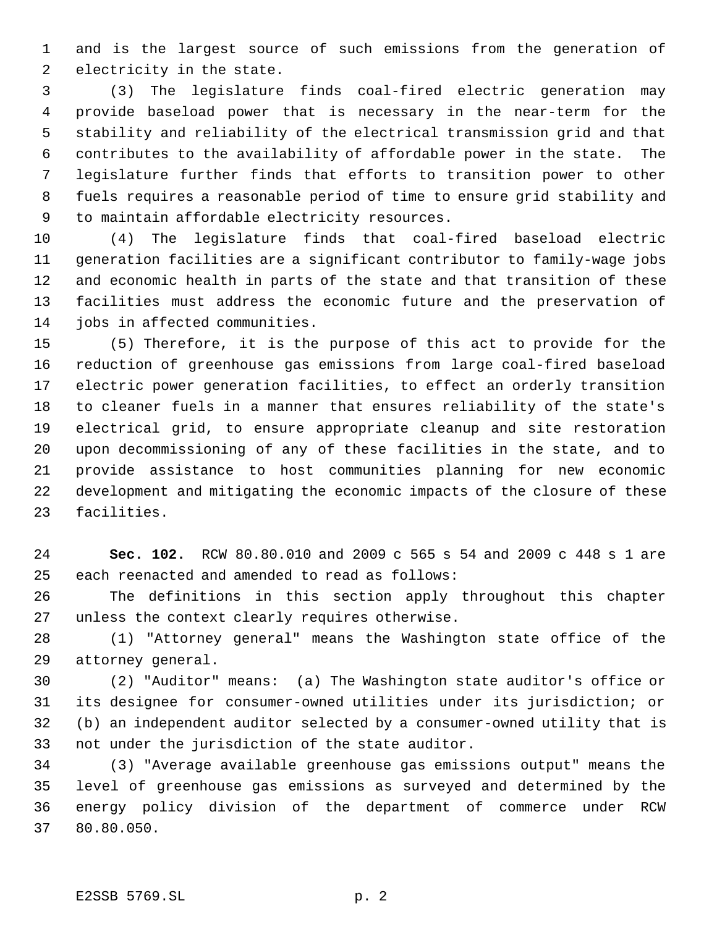and is the largest source of such emissions from the generation of electricity in the state.

 (3) The legislature finds coal-fired electric generation may provide baseload power that is necessary in the near-term for the stability and reliability of the electrical transmission grid and that contributes to the availability of affordable power in the state. The legislature further finds that efforts to transition power to other fuels requires a reasonable period of time to ensure grid stability and to maintain affordable electricity resources.

 (4) The legislature finds that coal-fired baseload electric generation facilities are a significant contributor to family-wage jobs and economic health in parts of the state and that transition of these facilities must address the economic future and the preservation of jobs in affected communities.

 (5) Therefore, it is the purpose of this act to provide for the reduction of greenhouse gas emissions from large coal-fired baseload electric power generation facilities, to effect an orderly transition to cleaner fuels in a manner that ensures reliability of the state's electrical grid, to ensure appropriate cleanup and site restoration upon decommissioning of any of these facilities in the state, and to provide assistance to host communities planning for new economic development and mitigating the economic impacts of the closure of these facilities.

 **Sec. 102.** RCW 80.80.010 and 2009 c 565 s 54 and 2009 c 448 s 1 are each reenacted and amended to read as follows:

 The definitions in this section apply throughout this chapter unless the context clearly requires otherwise.

 (1) "Attorney general" means the Washington state office of the attorney general.

 (2) "Auditor" means: (a) The Washington state auditor's office or its designee for consumer-owned utilities under its jurisdiction; or (b) an independent auditor selected by a consumer-owned utility that is not under the jurisdiction of the state auditor.

 (3) "Average available greenhouse gas emissions output" means the level of greenhouse gas emissions as surveyed and determined by the energy policy division of the department of commerce under RCW 80.80.050.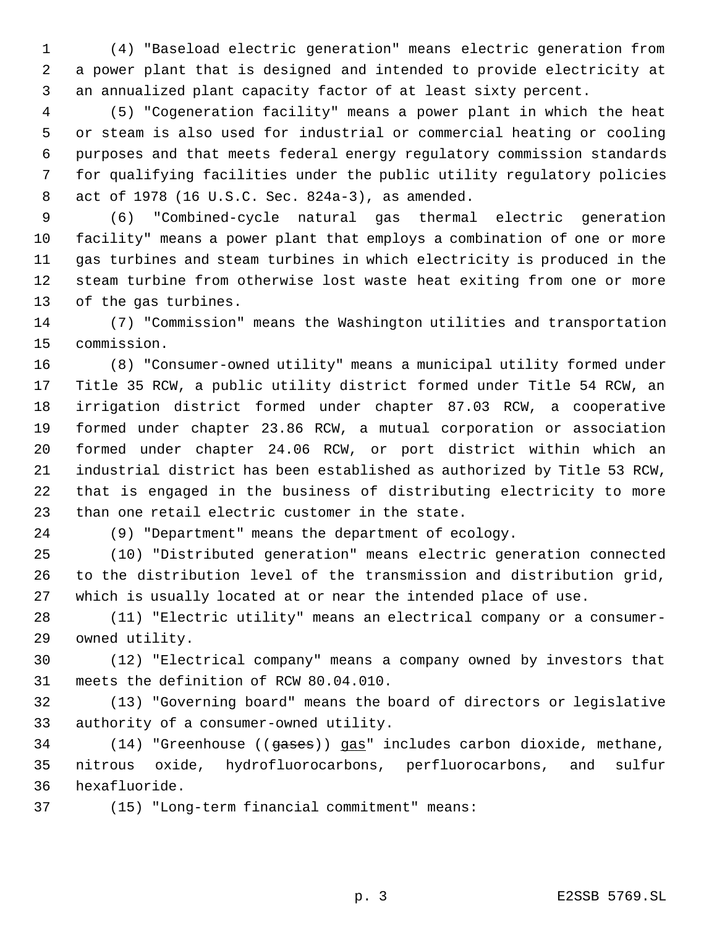(4) "Baseload electric generation" means electric generation from a power plant that is designed and intended to provide electricity at an annualized plant capacity factor of at least sixty percent.

 (5) "Cogeneration facility" means a power plant in which the heat or steam is also used for industrial or commercial heating or cooling purposes and that meets federal energy regulatory commission standards for qualifying facilities under the public utility regulatory policies act of 1978 (16 U.S.C. Sec. 824a-3), as amended.

 (6) "Combined-cycle natural gas thermal electric generation facility" means a power plant that employs a combination of one or more gas turbines and steam turbines in which electricity is produced in the steam turbine from otherwise lost waste heat exiting from one or more of the gas turbines.

 (7) "Commission" means the Washington utilities and transportation commission.

 (8) "Consumer-owned utility" means a municipal utility formed under Title 35 RCW, a public utility district formed under Title 54 RCW, an irrigation district formed under chapter 87.03 RCW, a cooperative formed under chapter 23.86 RCW, a mutual corporation or association formed under chapter 24.06 RCW, or port district within which an industrial district has been established as authorized by Title 53 RCW, that is engaged in the business of distributing electricity to more than one retail electric customer in the state.

(9) "Department" means the department of ecology.

 (10) "Distributed generation" means electric generation connected to the distribution level of the transmission and distribution grid, which is usually located at or near the intended place of use.

 (11) "Electric utility" means an electrical company or a consumer-owned utility.

 (12) "Electrical company" means a company owned by investors that meets the definition of RCW 80.04.010.

 (13) "Governing board" means the board of directors or legislative authority of a consumer-owned utility.

34 (14) "Greenhouse ((gases)) gas" includes carbon dioxide, methane, nitrous oxide, hydrofluorocarbons, perfluorocarbons, and sulfur hexafluoride.

(15) "Long-term financial commitment" means: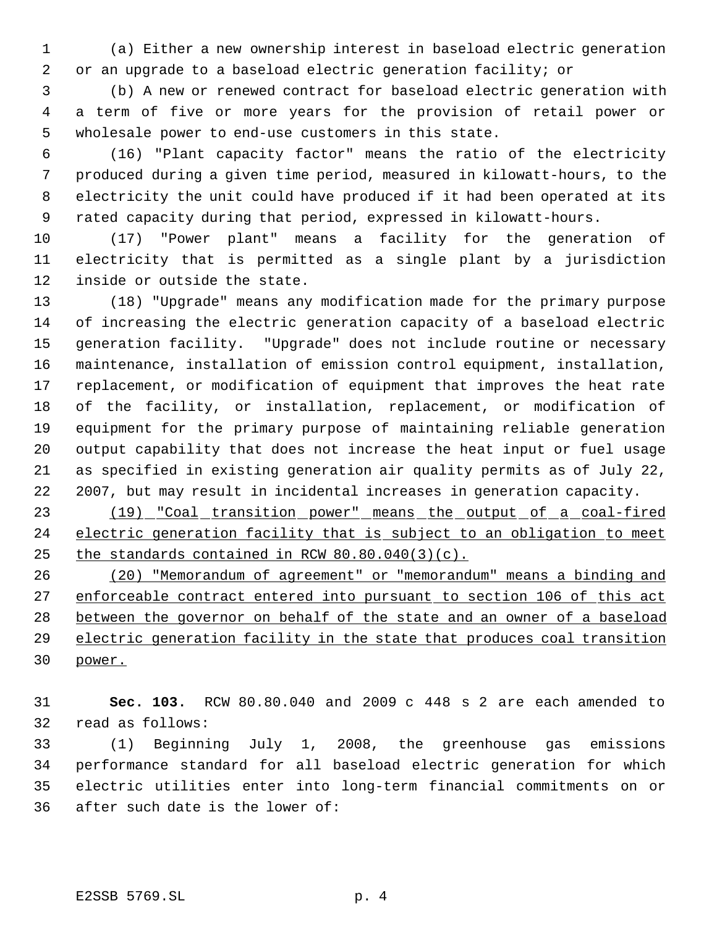(a) Either a new ownership interest in baseload electric generation or an upgrade to a baseload electric generation facility; or

 (b) A new or renewed contract for baseload electric generation with a term of five or more years for the provision of retail power or wholesale power to end-use customers in this state.

 (16) "Plant capacity factor" means the ratio of the electricity produced during a given time period, measured in kilowatt-hours, to the electricity the unit could have produced if it had been operated at its rated capacity during that period, expressed in kilowatt-hours.

 (17) "Power plant" means a facility for the generation of electricity that is permitted as a single plant by a jurisdiction inside or outside the state.

 (18) "Upgrade" means any modification made for the primary purpose of increasing the electric generation capacity of a baseload electric generation facility. "Upgrade" does not include routine or necessary maintenance, installation of emission control equipment, installation, replacement, or modification of equipment that improves the heat rate of the facility, or installation, replacement, or modification of equipment for the primary purpose of maintaining reliable generation output capability that does not increase the heat input or fuel usage as specified in existing generation air quality permits as of July 22, 2007, but may result in incidental increases in generation capacity.

 (19) "Coal transition power" means the output of a coal-fired 24 electric generation facility that is subject to an obligation to meet 25 the standards contained in RCW  $80.80.040(3)(c)$ .

 (20) "Memorandum of agreement" or "memorandum" means a binding and 27 enforceable contract entered into pursuant to section 106 of this act between the governor on behalf of the state and an owner of a baseload electric generation facility in the state that produces coal transition power.

 **Sec. 103.** RCW 80.80.040 and 2009 c 448 s 2 are each amended to read as follows:

 (1) Beginning July 1, 2008, the greenhouse gas emissions performance standard for all baseload electric generation for which electric utilities enter into long-term financial commitments on or after such date is the lower of: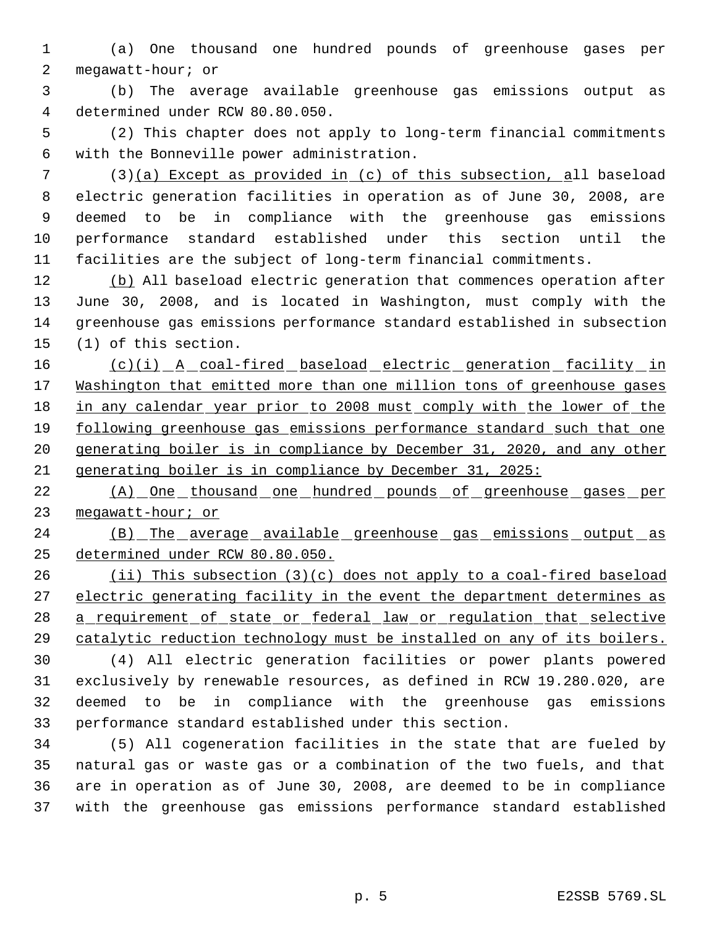(a) One thousand one hundred pounds of greenhouse gases per megawatt-hour; or

 (b) The average available greenhouse gas emissions output as determined under RCW 80.80.050.

 (2) This chapter does not apply to long-term financial commitments with the Bonneville power administration.

 (3)(a) Except as provided in (c) of this subsection, all baseload electric generation facilities in operation as of June 30, 2008, are deemed to be in compliance with the greenhouse gas emissions performance standard established under this section until the facilities are the subject of long-term financial commitments.

12 (b) All baseload electric generation that commences operation after June 30, 2008, and is located in Washington, must comply with the greenhouse gas emissions performance standard established in subsection (1) of this section.

 (c)(i) A coal-fired baseload electric generation facility in 17 Washington that emitted more than one million tons of greenhouse gases 18 in any calendar year prior to 2008 must comply with the lower of the following greenhouse gas emissions performance standard such that one generating boiler is in compliance by December 31, 2020, and any other generating boiler is in compliance by December 31, 2025:

22 (A) One thousand one hundred pounds of greenhouse gases per 23 megawatt-hour; or

24 (B) The average available greenhouse gas emissions output as determined under RCW 80.80.050.

 (ii) This subsection (3)(c) does not apply to a coal-fired baseload 27 electric generating facility in the event the department determines as 28 a requirement of state or federal law or requlation that selective catalytic reduction technology must be installed on any of its boilers.

 (4) All electric generation facilities or power plants powered exclusively by renewable resources, as defined in RCW 19.280.020, are deemed to be in compliance with the greenhouse gas emissions performance standard established under this section.

 (5) All cogeneration facilities in the state that are fueled by natural gas or waste gas or a combination of the two fuels, and that are in operation as of June 30, 2008, are deemed to be in compliance with the greenhouse gas emissions performance standard established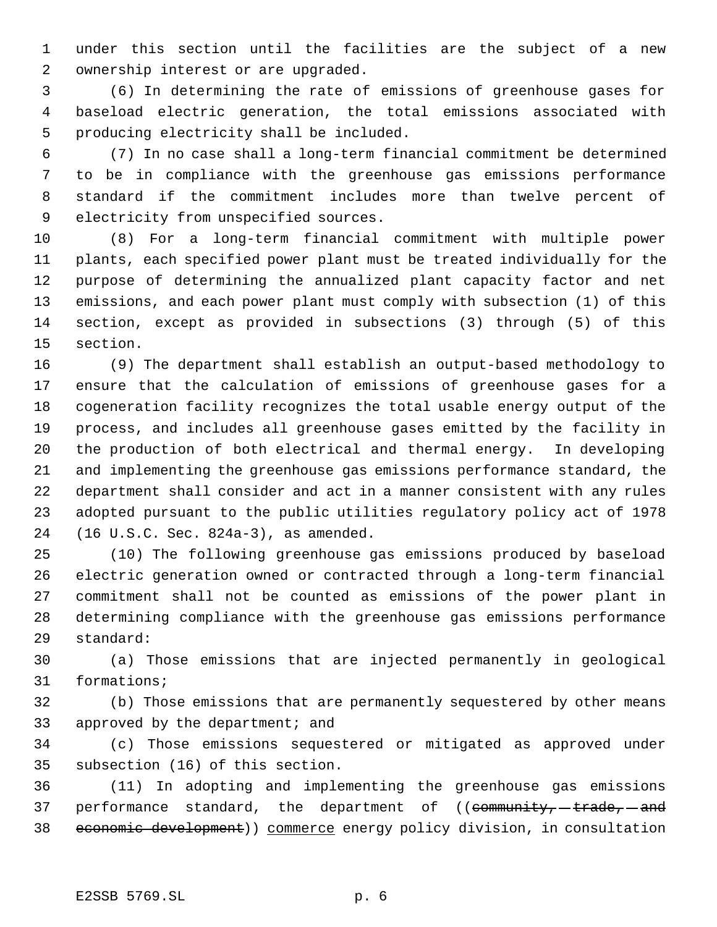under this section until the facilities are the subject of a new ownership interest or are upgraded.

 (6) In determining the rate of emissions of greenhouse gases for baseload electric generation, the total emissions associated with producing electricity shall be included.

 (7) In no case shall a long-term financial commitment be determined to be in compliance with the greenhouse gas emissions performance standard if the commitment includes more than twelve percent of electricity from unspecified sources.

 (8) For a long-term financial commitment with multiple power plants, each specified power plant must be treated individually for the purpose of determining the annualized plant capacity factor and net emissions, and each power plant must comply with subsection (1) of this section, except as provided in subsections (3) through (5) of this section.

 (9) The department shall establish an output-based methodology to ensure that the calculation of emissions of greenhouse gases for a cogeneration facility recognizes the total usable energy output of the process, and includes all greenhouse gases emitted by the facility in the production of both electrical and thermal energy. In developing and implementing the greenhouse gas emissions performance standard, the department shall consider and act in a manner consistent with any rules adopted pursuant to the public utilities regulatory policy act of 1978 (16 U.S.C. Sec. 824a-3), as amended.

 (10) The following greenhouse gas emissions produced by baseload electric generation owned or contracted through a long-term financial commitment shall not be counted as emissions of the power plant in determining compliance with the greenhouse gas emissions performance standard:

 (a) Those emissions that are injected permanently in geological formations;

 (b) Those emissions that are permanently sequestered by other means approved by the department; and

 (c) Those emissions sequestered or mitigated as approved under subsection (16) of this section.

 (11) In adopting and implementing the greenhouse gas emissions 37 performance standard, the department of  $($  (eommunity,  $-$  trade,  $-$  and economic development)) commerce energy policy division, in consultation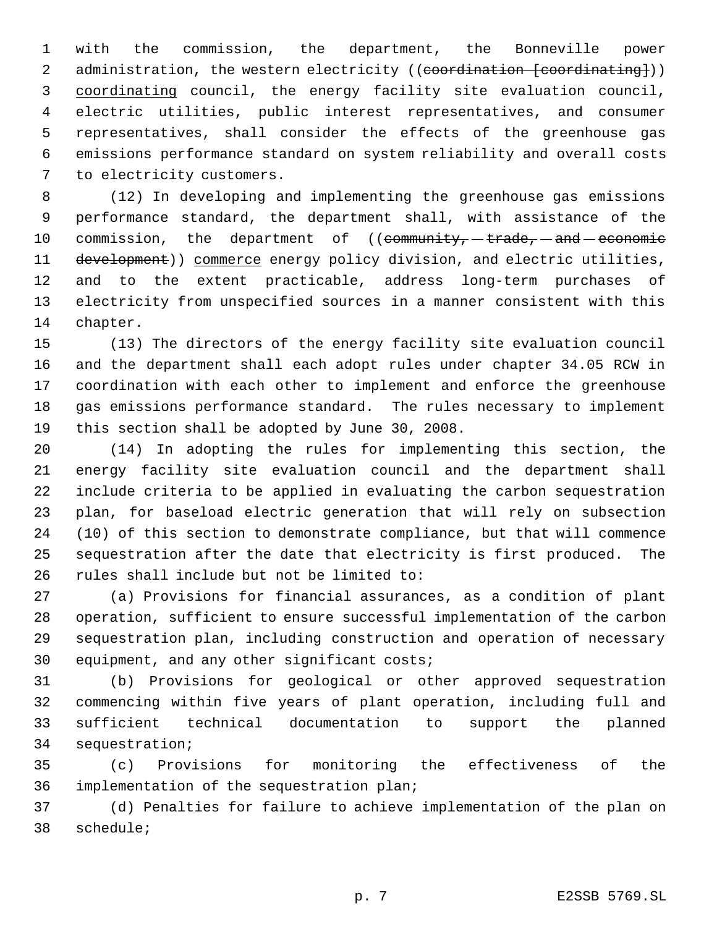with the commission, the department, the Bonneville power 2 administration, the western electricity ((coordination [coordinating])) 3 coordinating council, the energy facility site evaluation council, electric utilities, public interest representatives, and consumer representatives, shall consider the effects of the greenhouse gas emissions performance standard on system reliability and overall costs to electricity customers.

 (12) In developing and implementing the greenhouse gas emissions performance standard, the department shall, with assistance of the 10 commission, the department of  $((\text{community}, -\text{trade}, -\text{and} -\text{economic})$ 11 development)) commerce energy policy division, and electric utilities, and to the extent practicable, address long-term purchases of electricity from unspecified sources in a manner consistent with this chapter.

 (13) The directors of the energy facility site evaluation council and the department shall each adopt rules under chapter 34.05 RCW in coordination with each other to implement and enforce the greenhouse gas emissions performance standard. The rules necessary to implement this section shall be adopted by June 30, 2008.

 (14) In adopting the rules for implementing this section, the energy facility site evaluation council and the department shall include criteria to be applied in evaluating the carbon sequestration plan, for baseload electric generation that will rely on subsection (10) of this section to demonstrate compliance, but that will commence sequestration after the date that electricity is first produced. The rules shall include but not be limited to:

 (a) Provisions for financial assurances, as a condition of plant operation, sufficient to ensure successful implementation of the carbon sequestration plan, including construction and operation of necessary equipment, and any other significant costs;

 (b) Provisions for geological or other approved sequestration commencing within five years of plant operation, including full and sufficient technical documentation to support the planned sequestration;

 (c) Provisions for monitoring the effectiveness of the implementation of the sequestration plan;

 (d) Penalties for failure to achieve implementation of the plan on schedule;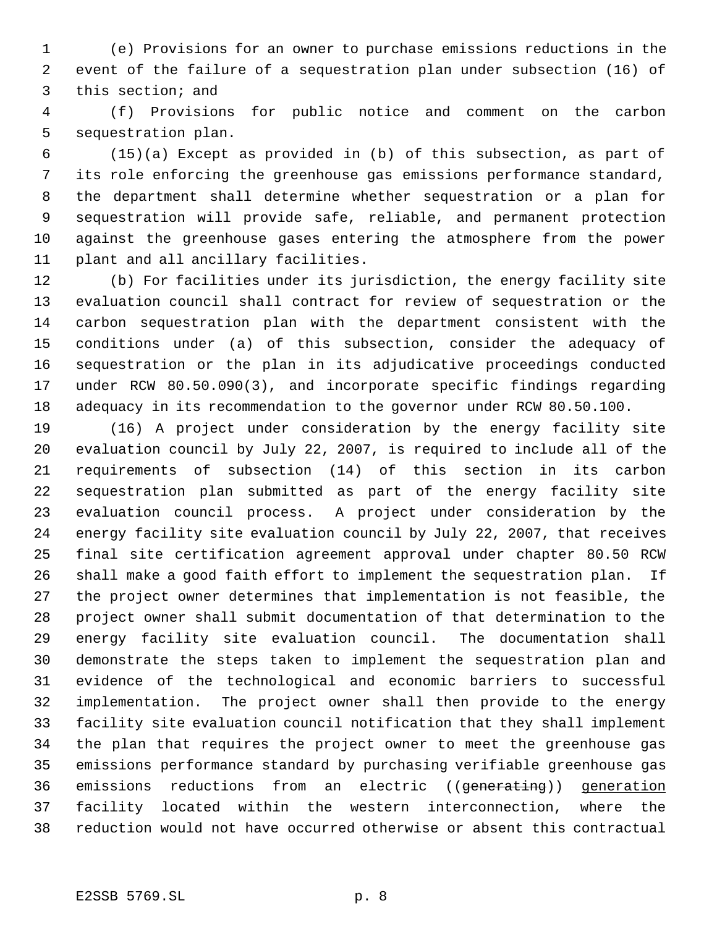(e) Provisions for an owner to purchase emissions reductions in the event of the failure of a sequestration plan under subsection (16) of this section; and

 (f) Provisions for public notice and comment on the carbon sequestration plan.

 (15)(a) Except as provided in (b) of this subsection, as part of its role enforcing the greenhouse gas emissions performance standard, the department shall determine whether sequestration or a plan for sequestration will provide safe, reliable, and permanent protection against the greenhouse gases entering the atmosphere from the power plant and all ancillary facilities.

 (b) For facilities under its jurisdiction, the energy facility site evaluation council shall contract for review of sequestration or the carbon sequestration plan with the department consistent with the conditions under (a) of this subsection, consider the adequacy of sequestration or the plan in its adjudicative proceedings conducted under RCW 80.50.090(3), and incorporate specific findings regarding adequacy in its recommendation to the governor under RCW 80.50.100.

 (16) A project under consideration by the energy facility site evaluation council by July 22, 2007, is required to include all of the requirements of subsection (14) of this section in its carbon sequestration plan submitted as part of the energy facility site evaluation council process. A project under consideration by the energy facility site evaluation council by July 22, 2007, that receives final site certification agreement approval under chapter 80.50 RCW shall make a good faith effort to implement the sequestration plan. If the project owner determines that implementation is not feasible, the project owner shall submit documentation of that determination to the energy facility site evaluation council. The documentation shall demonstrate the steps taken to implement the sequestration plan and evidence of the technological and economic barriers to successful implementation. The project owner shall then provide to the energy facility site evaluation council notification that they shall implement the plan that requires the project owner to meet the greenhouse gas emissions performance standard by purchasing verifiable greenhouse gas 36 emissions reductions from an electric ((<del>generating</del>)) generation facility located within the western interconnection, where the reduction would not have occurred otherwise or absent this contractual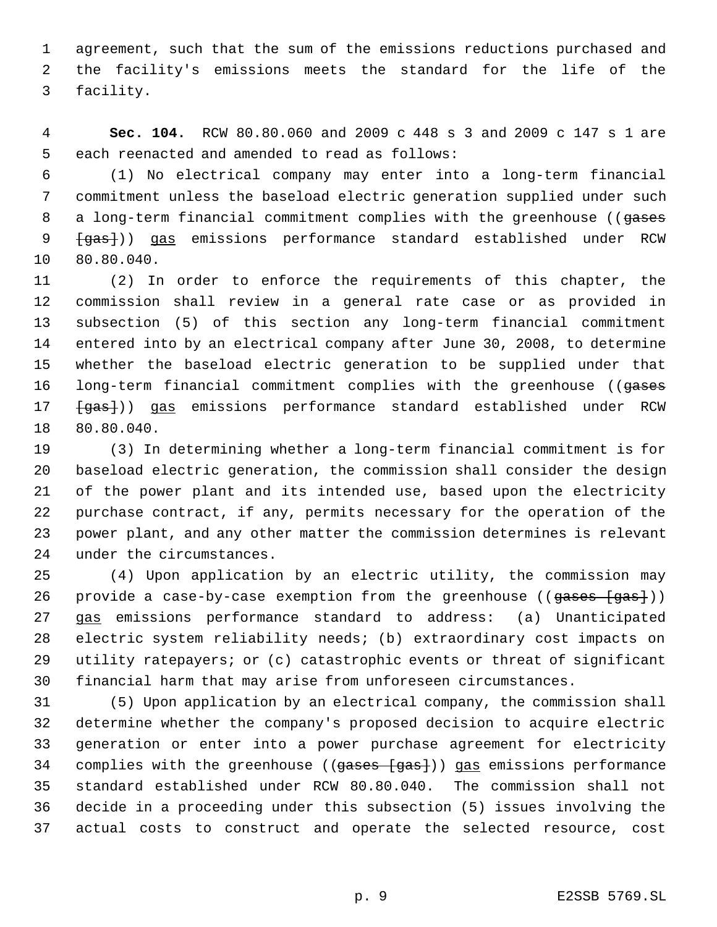agreement, such that the sum of the emissions reductions purchased and the facility's emissions meets the standard for the life of the facility.

 **Sec. 104.** RCW 80.80.060 and 2009 c 448 s 3 and 2009 c 147 s 1 are each reenacted and amended to read as follows:

 (1) No electrical company may enter into a long-term financial commitment unless the baseload electric generation supplied under such 8 a long-term financial commitment complies with the greenhouse ((gases  ${+}$ gas $})$ ) gas emissions performance standard established under RCW 80.80.040.

 (2) In order to enforce the requirements of this chapter, the commission shall review in a general rate case or as provided in subsection (5) of this section any long-term financial commitment entered into by an electrical company after June 30, 2008, to determine whether the baseload electric generation to be supplied under that 16 long-term financial commitment complies with the greenhouse ((gases  $\{gas\}$ )) gas emissions performance standard established under RCW 80.80.040.

 (3) In determining whether a long-term financial commitment is for baseload electric generation, the commission shall consider the design of the power plant and its intended use, based upon the electricity purchase contract, if any, permits necessary for the operation of the power plant, and any other matter the commission determines is relevant under the circumstances.

 (4) Upon application by an electric utility, the commission may 26 provide a case-by-case exemption from the greenhouse ((gases [gas])) gas emissions performance standard to address: (a) Unanticipated electric system reliability needs; (b) extraordinary cost impacts on utility ratepayers; or (c) catastrophic events or threat of significant financial harm that may arise from unforeseen circumstances.

 (5) Upon application by an electrical company, the commission shall determine whether the company's proposed decision to acquire electric generation or enter into a power purchase agreement for electricity 34 complies with the greenhouse ((gases [gas])) gas emissions performance standard established under RCW 80.80.040. The commission shall not decide in a proceeding under this subsection (5) issues involving the actual costs to construct and operate the selected resource, cost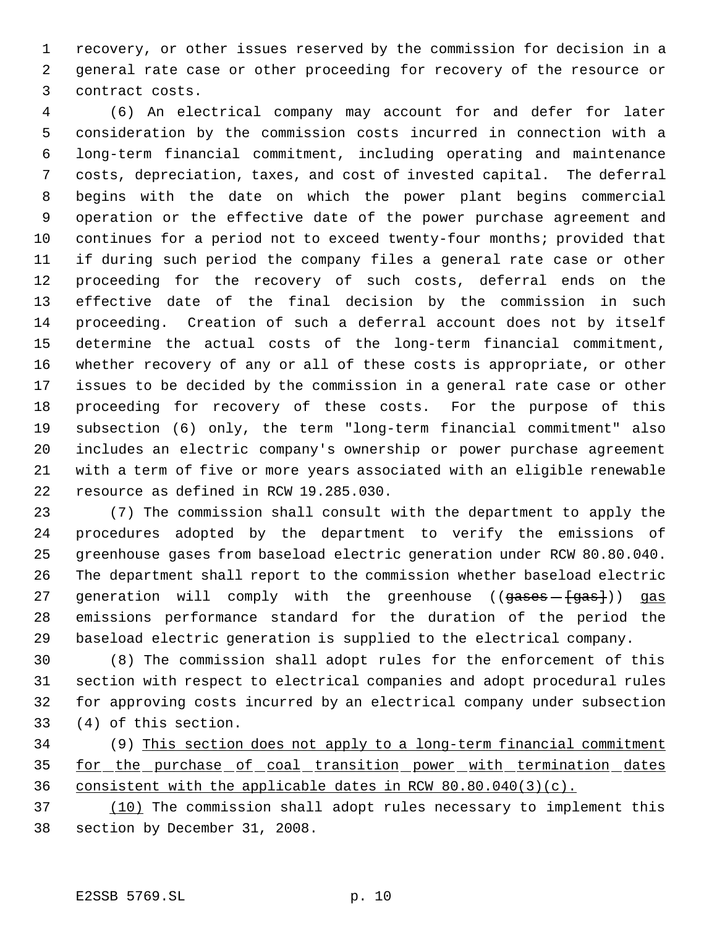recovery, or other issues reserved by the commission for decision in a general rate case or other proceeding for recovery of the resource or contract costs.

 (6) An electrical company may account for and defer for later consideration by the commission costs incurred in connection with a long-term financial commitment, including operating and maintenance costs, depreciation, taxes, and cost of invested capital. The deferral begins with the date on which the power plant begins commercial operation or the effective date of the power purchase agreement and continues for a period not to exceed twenty-four months; provided that if during such period the company files a general rate case or other proceeding for the recovery of such costs, deferral ends on the effective date of the final decision by the commission in such proceeding. Creation of such a deferral account does not by itself determine the actual costs of the long-term financial commitment, whether recovery of any or all of these costs is appropriate, or other issues to be decided by the commission in a general rate case or other proceeding for recovery of these costs. For the purpose of this subsection (6) only, the term "long-term financial commitment" also includes an electric company's ownership or power purchase agreement with a term of five or more years associated with an eligible renewable resource as defined in RCW 19.285.030.

 (7) The commission shall consult with the department to apply the procedures adopted by the department to verify the emissions of greenhouse gases from baseload electric generation under RCW 80.80.040. The department shall report to the commission whether baseload electric 27 generation will comply with the greenhouse (( $g$ ases  $(g$ as])) gas emissions performance standard for the duration of the period the baseload electric generation is supplied to the electrical company.

 (8) The commission shall adopt rules for the enforcement of this section with respect to electrical companies and adopt procedural rules for approving costs incurred by an electrical company under subsection (4) of this section.

 (9) This section does not apply to a long-term financial commitment 35 for the purchase of coal transition power with termination dates consistent with the applicable dates in RCW 80.80.040(3)(c).

 (10) The commission shall adopt rules necessary to implement this section by December 31, 2008.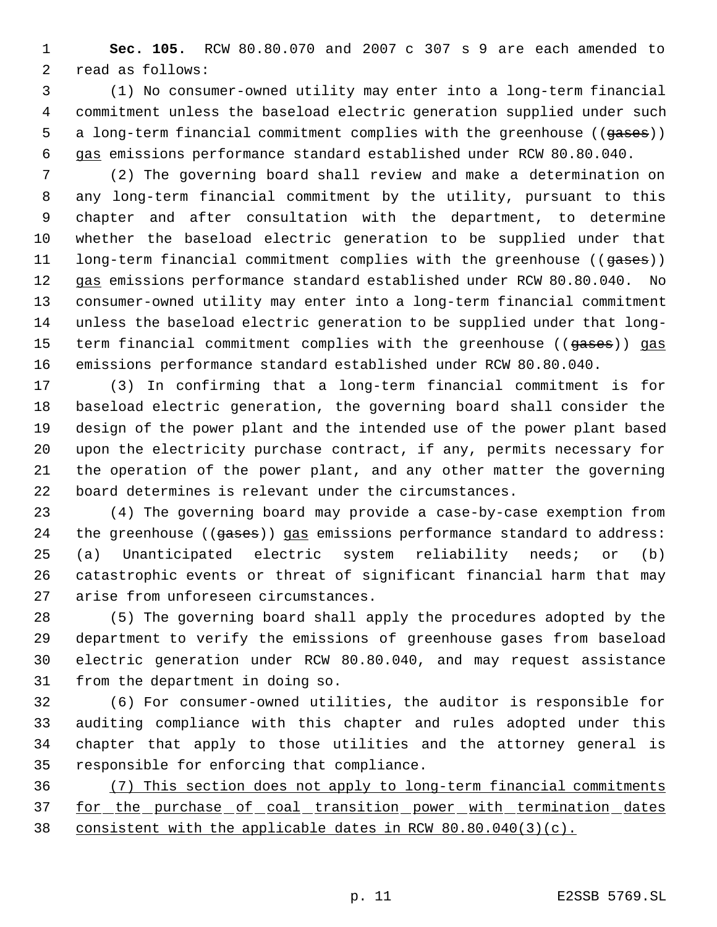**Sec. 105.** RCW 80.80.070 and 2007 c 307 s 9 are each amended to read as follows:

 (1) No consumer-owned utility may enter into a long-term financial commitment unless the baseload electric generation supplied under such 5 a long-term financial commitment complies with the greenhouse ((gases)) gas emissions performance standard established under RCW 80.80.040.

 (2) The governing board shall review and make a determination on any long-term financial commitment by the utility, pursuant to this chapter and after consultation with the department, to determine whether the baseload electric generation to be supplied under that 11 long-term financial commitment complies with the greenhouse ((gases)) gas emissions performance standard established under RCW 80.80.040. No consumer-owned utility may enter into a long-term financial commitment unless the baseload electric generation to be supplied under that long-15 term financial commitment complies with the greenhouse ((gases)) gas emissions performance standard established under RCW 80.80.040.

 (3) In confirming that a long-term financial commitment is for baseload electric generation, the governing board shall consider the design of the power plant and the intended use of the power plant based upon the electricity purchase contract, if any, permits necessary for the operation of the power plant, and any other matter the governing board determines is relevant under the circumstances.

 (4) The governing board may provide a case-by-case exemption from 24 the greenhouse ((gases)) gas emissions performance standard to address: (a) Unanticipated electric system reliability needs; or (b) catastrophic events or threat of significant financial harm that may arise from unforeseen circumstances.

 (5) The governing board shall apply the procedures adopted by the department to verify the emissions of greenhouse gases from baseload electric generation under RCW 80.80.040, and may request assistance from the department in doing so.

 (6) For consumer-owned utilities, the auditor is responsible for auditing compliance with this chapter and rules adopted under this chapter that apply to those utilities and the attorney general is responsible for enforcing that compliance.

 (7) This section does not apply to long-term financial commitments 37 for the purchase of coal transition power with termination dates consistent with the applicable dates in RCW 80.80.040(3)(c).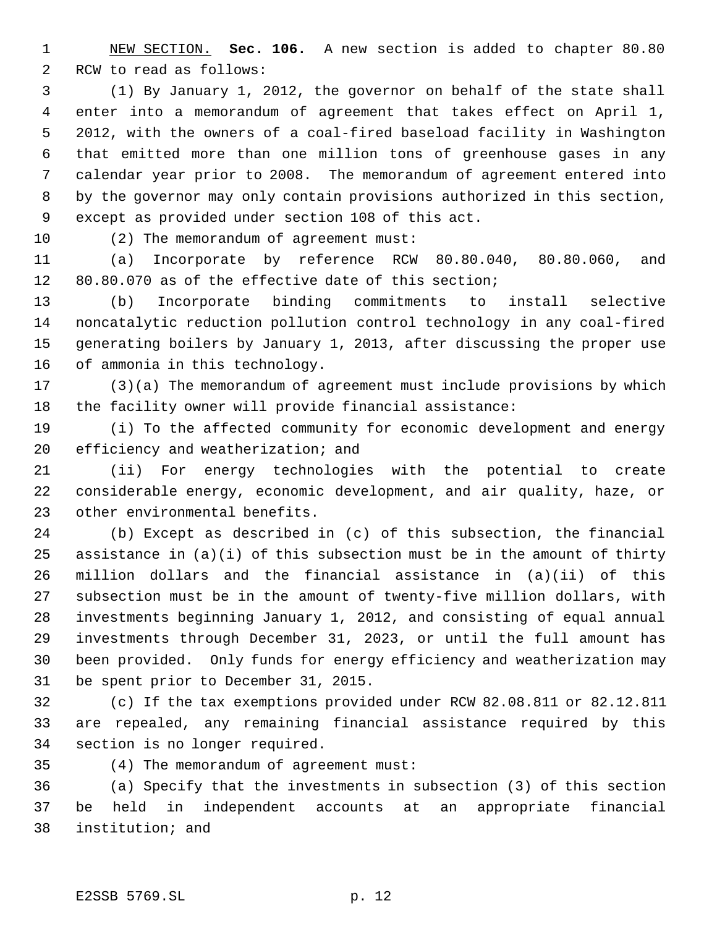NEW SECTION. **Sec. 106.** A new section is added to chapter 80.80 RCW to read as follows:

 (1) By January 1, 2012, the governor on behalf of the state shall enter into a memorandum of agreement that takes effect on April 1, 2012, with the owners of a coal-fired baseload facility in Washington that emitted more than one million tons of greenhouse gases in any calendar year prior to 2008. The memorandum of agreement entered into by the governor may only contain provisions authorized in this section, except as provided under section 108 of this act.

10 (2) The memorandum of agreement must:

 (a) Incorporate by reference RCW 80.80.040, 80.80.060, and 80.80.070 as of the effective date of this section;

 (b) Incorporate binding commitments to install selective noncatalytic reduction pollution control technology in any coal-fired generating boilers by January 1, 2013, after discussing the proper use of ammonia in this technology.

 (3)(a) The memorandum of agreement must include provisions by which the facility owner will provide financial assistance:

 (i) To the affected community for economic development and energy efficiency and weatherization; and

 (ii) For energy technologies with the potential to create considerable energy, economic development, and air quality, haze, or other environmental benefits.

 (b) Except as described in (c) of this subsection, the financial assistance in (a)(i) of this subsection must be in the amount of thirty million dollars and the financial assistance in (a)(ii) of this subsection must be in the amount of twenty-five million dollars, with investments beginning January 1, 2012, and consisting of equal annual investments through December 31, 2023, or until the full amount has been provided. Only funds for energy efficiency and weatherization may be spent prior to December 31, 2015.

 (c) If the tax exemptions provided under RCW 82.08.811 or 82.12.811 are repealed, any remaining financial assistance required by this section is no longer required.

(4) The memorandum of agreement must:

 (a) Specify that the investments in subsection (3) of this section be held in independent accounts at an appropriate financial institution; and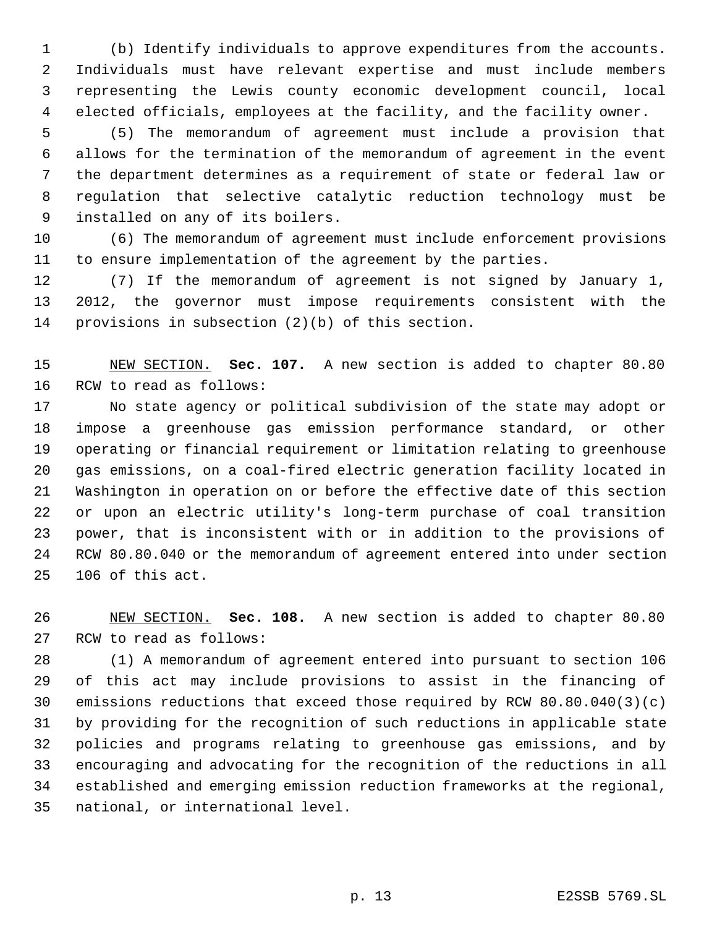(b) Identify individuals to approve expenditures from the accounts. Individuals must have relevant expertise and must include members representing the Lewis county economic development council, local elected officials, employees at the facility, and the facility owner.

 (5) The memorandum of agreement must include a provision that allows for the termination of the memorandum of agreement in the event the department determines as a requirement of state or federal law or regulation that selective catalytic reduction technology must be installed on any of its boilers.

 (6) The memorandum of agreement must include enforcement provisions to ensure implementation of the agreement by the parties.

 (7) If the memorandum of agreement is not signed by January 1, 2012, the governor must impose requirements consistent with the provisions in subsection (2)(b) of this section.

 NEW SECTION. **Sec. 107.** A new section is added to chapter 80.80 RCW to read as follows:

 No state agency or political subdivision of the state may adopt or impose a greenhouse gas emission performance standard, or other operating or financial requirement or limitation relating to greenhouse gas emissions, on a coal-fired electric generation facility located in Washington in operation on or before the effective date of this section or upon an electric utility's long-term purchase of coal transition power, that is inconsistent with or in addition to the provisions of RCW 80.80.040 or the memorandum of agreement entered into under section 106 of this act.

 NEW SECTION. **Sec. 108.** A new section is added to chapter 80.80 RCW to read as follows:

 (1) A memorandum of agreement entered into pursuant to section 106 of this act may include provisions to assist in the financing of emissions reductions that exceed those required by RCW 80.80.040(3)(c) by providing for the recognition of such reductions in applicable state policies and programs relating to greenhouse gas emissions, and by encouraging and advocating for the recognition of the reductions in all established and emerging emission reduction frameworks at the regional, national, or international level.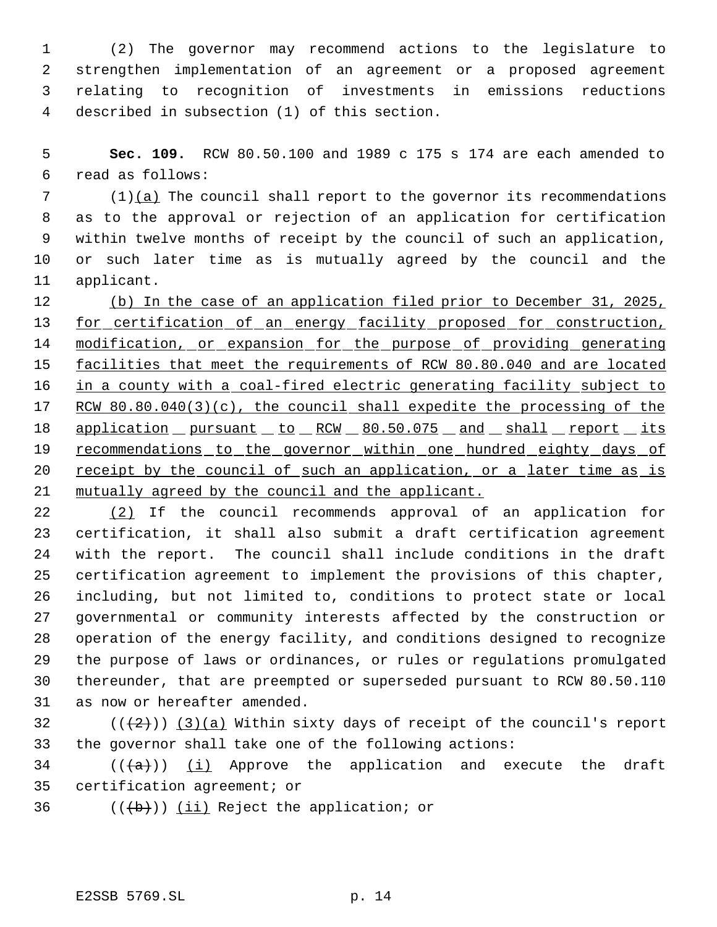(2) The governor may recommend actions to the legislature to strengthen implementation of an agreement or a proposed agreement relating to recognition of investments in emissions reductions described in subsection (1) of this section.

 **Sec. 109.** RCW 80.50.100 and 1989 c 175 s 174 are each amended to read as follows:

 (1)(a) The council shall report to the governor its recommendations as to the approval or rejection of an application for certification within twelve months of receipt by the council of such an application, or such later time as is mutually agreed by the council and the applicant.

 (b) In the case of an application filed prior to December 31, 2025, for certification of an energy facility proposed for construction, 14 modification, or expansion for the purpose of providing generating 15 facilities that meet the requirements of RCW 80.80.040 and are located 16 in a county with a coal-fired electric generating facility subject to 17 RCW 80.80.040(3)(c), the council shall expedite the processing of the 18 application pursuant to RCW 80.50.075 and shall report its 19 recommendations to the governor within one hundred eighty days of receipt by the council of such an application, or a later time as is mutually agreed by the council and the applicant.

 (2) If the council recommends approval of an application for certification, it shall also submit a draft certification agreement with the report. The council shall include conditions in the draft certification agreement to implement the provisions of this chapter, including, but not limited to, conditions to protect state or local governmental or community interests affected by the construction or operation of the energy facility, and conditions designed to recognize the purpose of laws or ordinances, or rules or regulations promulgated thereunder, that are preempted or superseded pursuant to RCW 80.50.110 as now or hereafter amended.

32  $((+2))$   $(3)(a)$  Within sixty days of receipt of the council's report the governor shall take one of the following actions:

34 ( $(\overline{a})$ ) (i) Approve the application and execute the draft certification agreement; or

36  $((+b))$   $(ii)$  Reject the application; or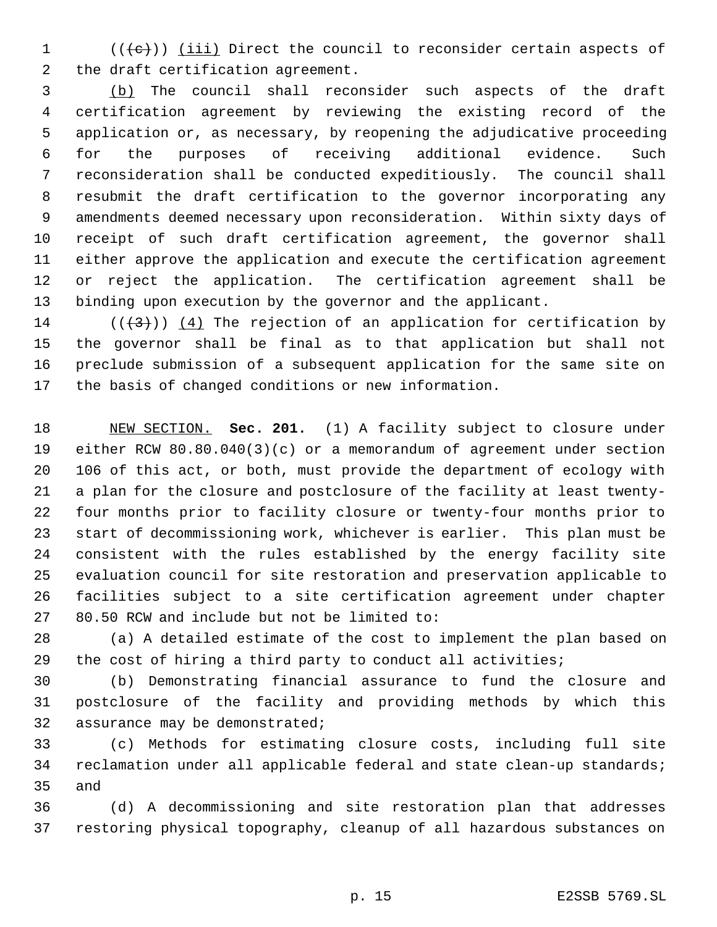(( $\left(\left(\text{e}\right)\right)$ ) (iii) Direct the council to reconsider certain aspects of the draft certification agreement.

 (b) The council shall reconsider such aspects of the draft certification agreement by reviewing the existing record of the application or, as necessary, by reopening the adjudicative proceeding for the purposes of receiving additional evidence. Such reconsideration shall be conducted expeditiously. The council shall resubmit the draft certification to the governor incorporating any amendments deemed necessary upon reconsideration. Within sixty days of receipt of such draft certification agreement, the governor shall either approve the application and execute the certification agreement or reject the application. The certification agreement shall be binding upon execution by the governor and the applicant.

14 ( $(\langle 3 \rangle)$ ) (4) The rejection of an application for certification by the governor shall be final as to that application but shall not preclude submission of a subsequent application for the same site on the basis of changed conditions or new information.

 NEW SECTION. **Sec. 201.** (1) A facility subject to closure under either RCW 80.80.040(3)(c) or a memorandum of agreement under section 106 of this act, or both, must provide the department of ecology with a plan for the closure and postclosure of the facility at least twenty- four months prior to facility closure or twenty-four months prior to start of decommissioning work, whichever is earlier. This plan must be consistent with the rules established by the energy facility site evaluation council for site restoration and preservation applicable to facilities subject to a site certification agreement under chapter 80.50 RCW and include but not be limited to:

 (a) A detailed estimate of the cost to implement the plan based on the cost of hiring a third party to conduct all activities;

 (b) Demonstrating financial assurance to fund the closure and postclosure of the facility and providing methods by which this assurance may be demonstrated;

 (c) Methods for estimating closure costs, including full site reclamation under all applicable federal and state clean-up standards; and

 (d) A decommissioning and site restoration plan that addresses restoring physical topography, cleanup of all hazardous substances on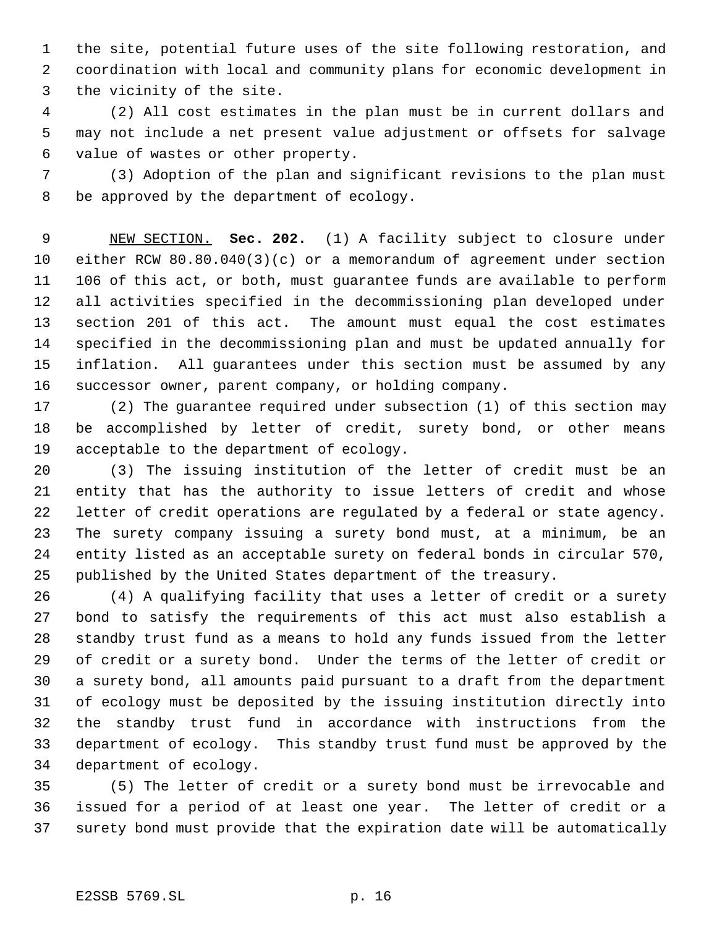the site, potential future uses of the site following restoration, and coordination with local and community plans for economic development in the vicinity of the site.

 (2) All cost estimates in the plan must be in current dollars and may not include a net present value adjustment or offsets for salvage value of wastes or other property.

 (3) Adoption of the plan and significant revisions to the plan must be approved by the department of ecology.

 NEW SECTION. **Sec. 202.** (1) A facility subject to closure under either RCW 80.80.040(3)(c) or a memorandum of agreement under section 106 of this act, or both, must guarantee funds are available to perform all activities specified in the decommissioning plan developed under section 201 of this act. The amount must equal the cost estimates specified in the decommissioning plan and must be updated annually for inflation. All guarantees under this section must be assumed by any successor owner, parent company, or holding company.

 (2) The guarantee required under subsection (1) of this section may be accomplished by letter of credit, surety bond, or other means acceptable to the department of ecology.

 (3) The issuing institution of the letter of credit must be an entity that has the authority to issue letters of credit and whose letter of credit operations are regulated by a federal or state agency. The surety company issuing a surety bond must, at a minimum, be an entity listed as an acceptable surety on federal bonds in circular 570, published by the United States department of the treasury.

 (4) A qualifying facility that uses a letter of credit or a surety bond to satisfy the requirements of this act must also establish a standby trust fund as a means to hold any funds issued from the letter of credit or a surety bond. Under the terms of the letter of credit or a surety bond, all amounts paid pursuant to a draft from the department of ecology must be deposited by the issuing institution directly into the standby trust fund in accordance with instructions from the department of ecology. This standby trust fund must be approved by the department of ecology.

 (5) The letter of credit or a surety bond must be irrevocable and issued for a period of at least one year. The letter of credit or a surety bond must provide that the expiration date will be automatically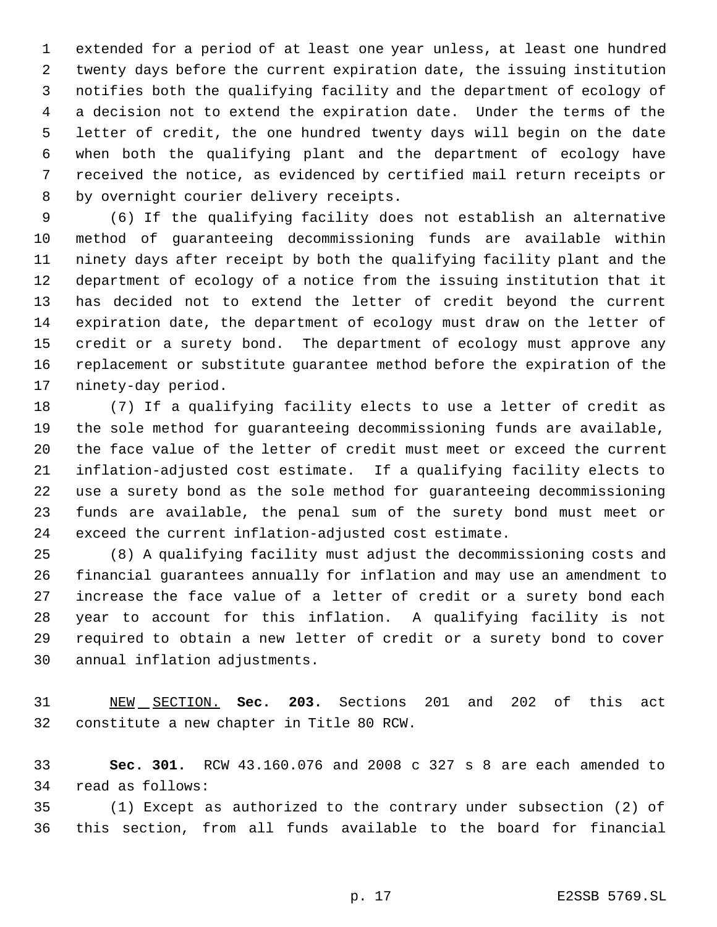extended for a period of at least one year unless, at least one hundred twenty days before the current expiration date, the issuing institution notifies both the qualifying facility and the department of ecology of a decision not to extend the expiration date. Under the terms of the letter of credit, the one hundred twenty days will begin on the date when both the qualifying plant and the department of ecology have received the notice, as evidenced by certified mail return receipts or by overnight courier delivery receipts.

 (6) If the qualifying facility does not establish an alternative method of guaranteeing decommissioning funds are available within ninety days after receipt by both the qualifying facility plant and the department of ecology of a notice from the issuing institution that it has decided not to extend the letter of credit beyond the current expiration date, the department of ecology must draw on the letter of credit or a surety bond. The department of ecology must approve any replacement or substitute guarantee method before the expiration of the ninety-day period.

 (7) If a qualifying facility elects to use a letter of credit as the sole method for guaranteeing decommissioning funds are available, the face value of the letter of credit must meet or exceed the current inflation-adjusted cost estimate. If a qualifying facility elects to use a surety bond as the sole method for guaranteeing decommissioning funds are available, the penal sum of the surety bond must meet or exceed the current inflation-adjusted cost estimate.

 (8) A qualifying facility must adjust the decommissioning costs and financial guarantees annually for inflation and may use an amendment to increase the face value of a letter of credit or a surety bond each year to account for this inflation. A qualifying facility is not required to obtain a new letter of credit or a surety bond to cover annual inflation adjustments.

 NEW SECTION. **Sec. 203.** Sections 201 and 202 of this act constitute a new chapter in Title 80 RCW.

 **Sec. 301.** RCW 43.160.076 and 2008 c 327 s 8 are each amended to read as follows:

 (1) Except as authorized to the contrary under subsection (2) of this section, from all funds available to the board for financial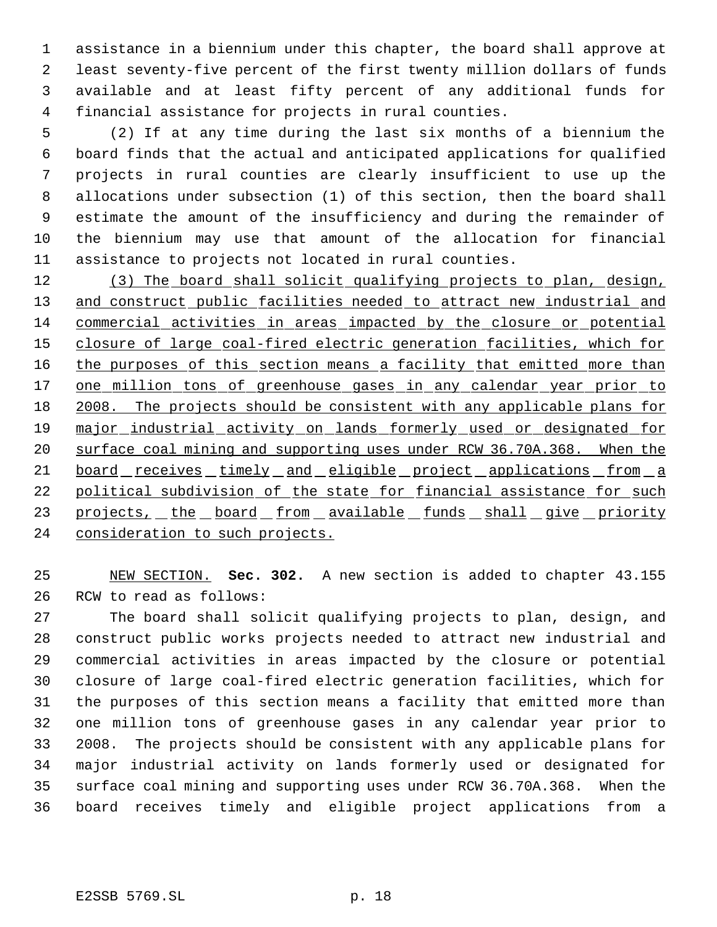assistance in a biennium under this chapter, the board shall approve at least seventy-five percent of the first twenty million dollars of funds available and at least fifty percent of any additional funds for financial assistance for projects in rural counties.

 (2) If at any time during the last six months of a biennium the board finds that the actual and anticipated applications for qualified projects in rural counties are clearly insufficient to use up the allocations under subsection (1) of this section, then the board shall estimate the amount of the insufficiency and during the remainder of the biennium may use that amount of the allocation for financial assistance to projects not located in rural counties.

 (3) The board shall solicit qualifying projects to plan, design, 13 and construct public facilities needed to attract new industrial and commercial activities in areas impacted by the closure or potential closure of large coal-fired electric generation facilities, which for 16 the purposes of this section means a facility that emitted more than 17 one million tons of greenhouse gases in any calendar year prior to 2008. The projects should be consistent with any applicable plans for 19 major industrial activity on lands formerly used or designated for surface coal mining and supporting uses under RCW 36.70A.368. When the 21 board receives timely and eligible project applications from a 22 political subdivision of the state for financial assistance for such 23 projects, the board from available funds shall give priority 24 consideration to such projects.

 NEW SECTION. **Sec. 302.** A new section is added to chapter 43.155 RCW to read as follows:

 The board shall solicit qualifying projects to plan, design, and construct public works projects needed to attract new industrial and commercial activities in areas impacted by the closure or potential closure of large coal-fired electric generation facilities, which for the purposes of this section means a facility that emitted more than one million tons of greenhouse gases in any calendar year prior to 2008. The projects should be consistent with any applicable plans for major industrial activity on lands formerly used or designated for surface coal mining and supporting uses under RCW 36.70A.368. When the board receives timely and eligible project applications from a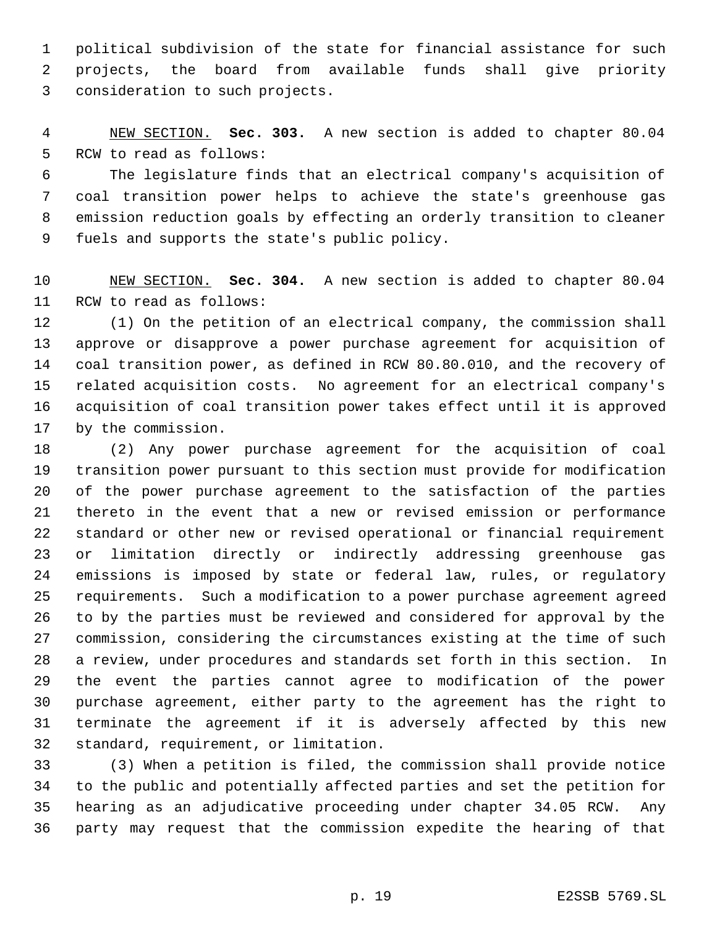political subdivision of the state for financial assistance for such projects, the board from available funds shall give priority consideration to such projects.

 NEW SECTION. **Sec. 303.** A new section is added to chapter 80.04 RCW to read as follows:

 The legislature finds that an electrical company's acquisition of coal transition power helps to achieve the state's greenhouse gas emission reduction goals by effecting an orderly transition to cleaner fuels and supports the state's public policy.

 NEW SECTION. **Sec. 304.** A new section is added to chapter 80.04 RCW to read as follows:

 (1) On the petition of an electrical company, the commission shall approve or disapprove a power purchase agreement for acquisition of coal transition power, as defined in RCW 80.80.010, and the recovery of related acquisition costs. No agreement for an electrical company's acquisition of coal transition power takes effect until it is approved by the commission.

 (2) Any power purchase agreement for the acquisition of coal transition power pursuant to this section must provide for modification of the power purchase agreement to the satisfaction of the parties thereto in the event that a new or revised emission or performance standard or other new or revised operational or financial requirement or limitation directly or indirectly addressing greenhouse gas emissions is imposed by state or federal law, rules, or regulatory requirements. Such a modification to a power purchase agreement agreed to by the parties must be reviewed and considered for approval by the commission, considering the circumstances existing at the time of such a review, under procedures and standards set forth in this section. In the event the parties cannot agree to modification of the power purchase agreement, either party to the agreement has the right to terminate the agreement if it is adversely affected by this new standard, requirement, or limitation.

 (3) When a petition is filed, the commission shall provide notice to the public and potentially affected parties and set the petition for hearing as an adjudicative proceeding under chapter 34.05 RCW. Any party may request that the commission expedite the hearing of that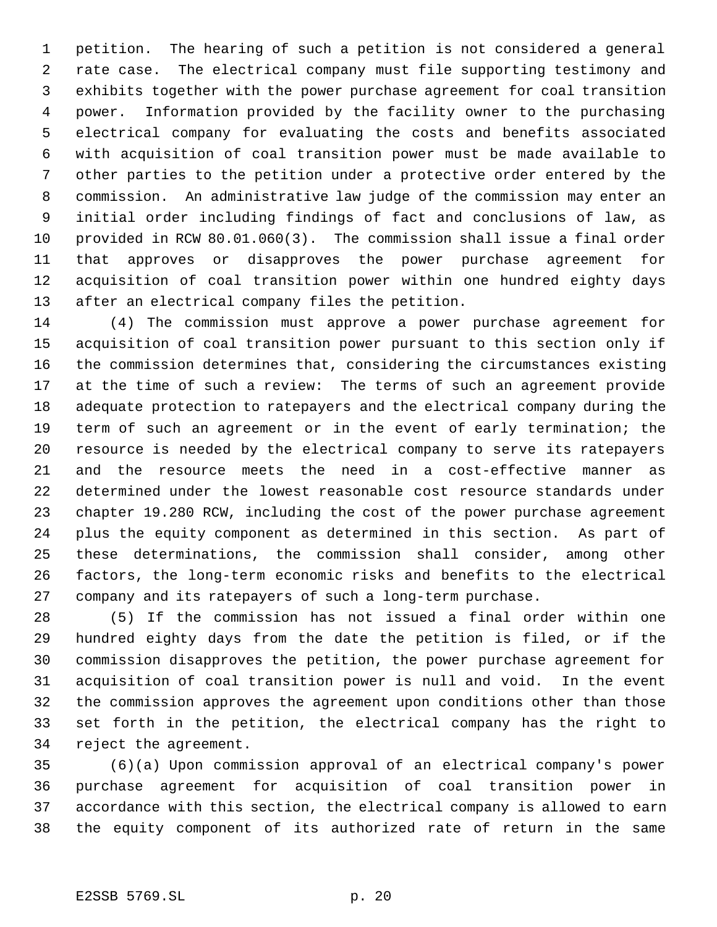petition. The hearing of such a petition is not considered a general rate case. The electrical company must file supporting testimony and exhibits together with the power purchase agreement for coal transition power. Information provided by the facility owner to the purchasing electrical company for evaluating the costs and benefits associated with acquisition of coal transition power must be made available to other parties to the petition under a protective order entered by the commission. An administrative law judge of the commission may enter an initial order including findings of fact and conclusions of law, as provided in RCW 80.01.060(3). The commission shall issue a final order that approves or disapproves the power purchase agreement for acquisition of coal transition power within one hundred eighty days after an electrical company files the petition.

 (4) The commission must approve a power purchase agreement for acquisition of coal transition power pursuant to this section only if the commission determines that, considering the circumstances existing at the time of such a review: The terms of such an agreement provide adequate protection to ratepayers and the electrical company during the term of such an agreement or in the event of early termination; the resource is needed by the electrical company to serve its ratepayers and the resource meets the need in a cost-effective manner as determined under the lowest reasonable cost resource standards under chapter 19.280 RCW, including the cost of the power purchase agreement plus the equity component as determined in this section. As part of these determinations, the commission shall consider, among other factors, the long-term economic risks and benefits to the electrical company and its ratepayers of such a long-term purchase.

 (5) If the commission has not issued a final order within one hundred eighty days from the date the petition is filed, or if the commission disapproves the petition, the power purchase agreement for acquisition of coal transition power is null and void. In the event the commission approves the agreement upon conditions other than those set forth in the petition, the electrical company has the right to reject the agreement.

 (6)(a) Upon commission approval of an electrical company's power purchase agreement for acquisition of coal transition power in accordance with this section, the electrical company is allowed to earn the equity component of its authorized rate of return in the same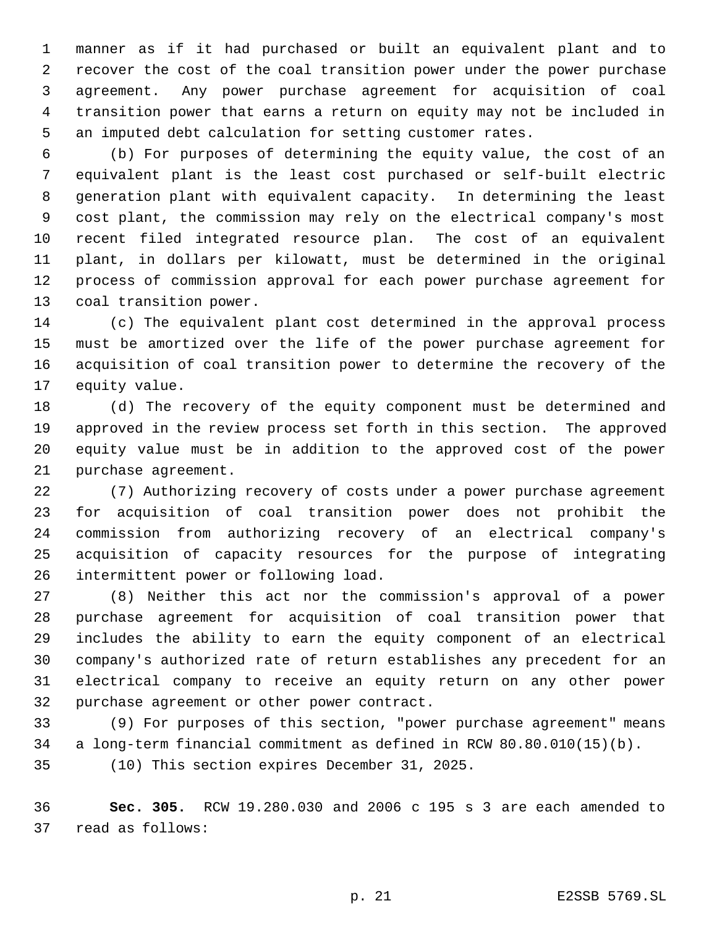manner as if it had purchased or built an equivalent plant and to recover the cost of the coal transition power under the power purchase agreement. Any power purchase agreement for acquisition of coal transition power that earns a return on equity may not be included in an imputed debt calculation for setting customer rates.

 (b) For purposes of determining the equity value, the cost of an equivalent plant is the least cost purchased or self-built electric generation plant with equivalent capacity. In determining the least cost plant, the commission may rely on the electrical company's most recent filed integrated resource plan. The cost of an equivalent plant, in dollars per kilowatt, must be determined in the original process of commission approval for each power purchase agreement for coal transition power.

 (c) The equivalent plant cost determined in the approval process must be amortized over the life of the power purchase agreement for acquisition of coal transition power to determine the recovery of the equity value.

 (d) The recovery of the equity component must be determined and approved in the review process set forth in this section. The approved equity value must be in addition to the approved cost of the power purchase agreement.

 (7) Authorizing recovery of costs under a power purchase agreement for acquisition of coal transition power does not prohibit the commission from authorizing recovery of an electrical company's acquisition of capacity resources for the purpose of integrating intermittent power or following load.

 (8) Neither this act nor the commission's approval of a power purchase agreement for acquisition of coal transition power that includes the ability to earn the equity component of an electrical company's authorized rate of return establishes any precedent for an electrical company to receive an equity return on any other power purchase agreement or other power contract.

 (9) For purposes of this section, "power purchase agreement" means a long-term financial commitment as defined in RCW 80.80.010(15)(b).

(10) This section expires December 31, 2025.

 **Sec. 305.** RCW 19.280.030 and 2006 c 195 s 3 are each amended to read as follows: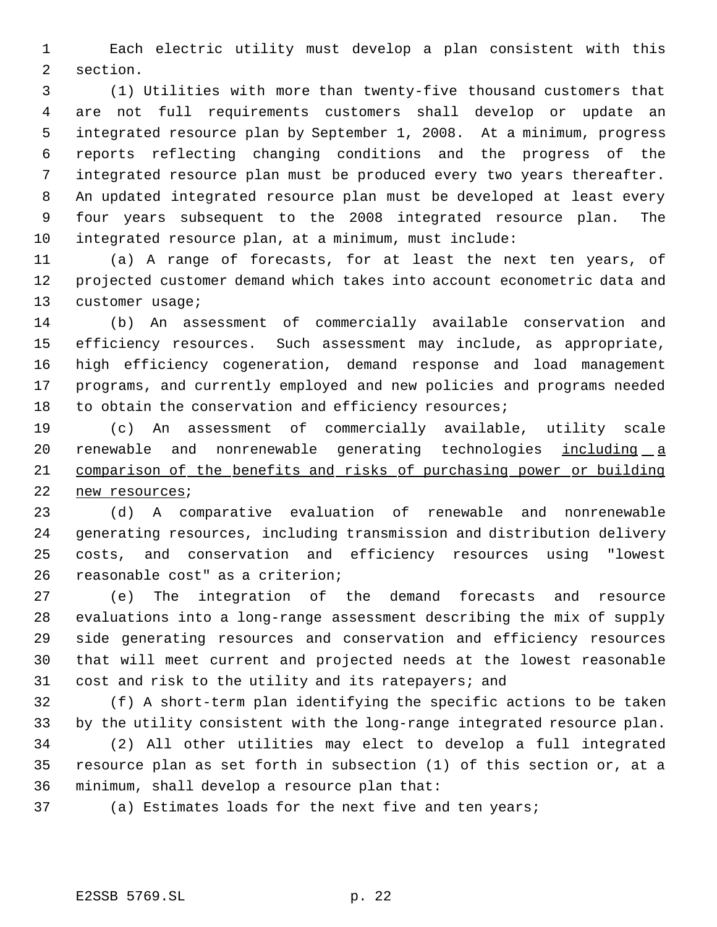Each electric utility must develop a plan consistent with this section.

 (1) Utilities with more than twenty-five thousand customers that are not full requirements customers shall develop or update an integrated resource plan by September 1, 2008. At a minimum, progress reports reflecting changing conditions and the progress of the integrated resource plan must be produced every two years thereafter. An updated integrated resource plan must be developed at least every four years subsequent to the 2008 integrated resource plan. The integrated resource plan, at a minimum, must include:

 (a) A range of forecasts, for at least the next ten years, of projected customer demand which takes into account econometric data and 13 customer usage;

 (b) An assessment of commercially available conservation and efficiency resources. Such assessment may include, as appropriate, high efficiency cogeneration, demand response and load management programs, and currently employed and new policies and programs needed to obtain the conservation and efficiency resources;

 (c) An assessment of commercially available, utility scale 20 renewable and nonrenewable generating technologies including a comparison of the benefits and risks of purchasing power or building new resources;

 (d) A comparative evaluation of renewable and nonrenewable generating resources, including transmission and distribution delivery costs, and conservation and efficiency resources using "lowest reasonable cost" as a criterion;

 (e) The integration of the demand forecasts and resource evaluations into a long-range assessment describing the mix of supply side generating resources and conservation and efficiency resources that will meet current and projected needs at the lowest reasonable cost and risk to the utility and its ratepayers; and

 (f) A short-term plan identifying the specific actions to be taken by the utility consistent with the long-range integrated resource plan.

 (2) All other utilities may elect to develop a full integrated resource plan as set forth in subsection (1) of this section or, at a minimum, shall develop a resource plan that:

(a) Estimates loads for the next five and ten years;